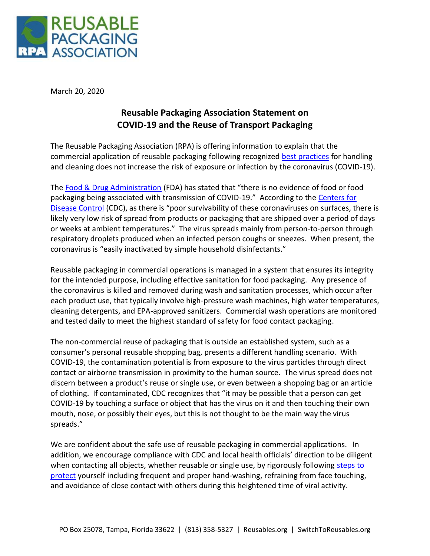

March 20, 2020

## **Reusable Packaging Association Statement on COVID-19 and the Reuse of Transport Packaging**

The Reusable Packaging Association (RPA) is offering information to explain that the commercial application of reusable packaging following recognized [best practices](https://reusables.org/reusables-library/food-safety-resources/) for handling and cleaning does not increase the risk of exposure or infection by the coronavirus (COVID-19).

The [Food & Drug Administration](https://www.fda.gov/food/food-safety-during-emergencies/food-safety-and-coronavirus-disease-2019-covid-19) (FDA) has stated that "there is no evidence of food or food packaging being associated with transmission of COVID-19." According to the [Centers for](https://www.cdc.gov/coronavirus/2019-ncov/faq.html#spreads)  [Disease Control](https://www.cdc.gov/coronavirus/2019-ncov/faq.html#spreads) (CDC), as there is "poor survivability of these coronaviruses on surfaces, there is likely very low risk of spread from products or packaging that are shipped over a period of days or weeks at ambient temperatures." The virus spreads mainly from person-to-person through respiratory droplets produced when an infected person coughs or sneezes. When present, the coronavirus is "easily inactivated by simple household disinfectants."

Reusable packaging in commercial operations is managed in a system that ensures its integrity for the intended purpose, including effective sanitation for food packaging. Any presence of the coronavirus is killed and removed during wash and sanitation processes, which occur after each product use, that typically involve high-pressure wash machines, high water temperatures, cleaning detergents, and EPA-approved sanitizers. Commercial wash operations are monitored and tested daily to meet the highest standard of safety for food contact packaging.

The non-commercial reuse of packaging that is outside an established system, such as a consumer's personal reusable shopping bag, presents a different handling scenario. With COVID-19, the contamination potential is from exposure to the virus particles through direct contact or airborne transmission in proximity to the human source. The virus spread does not discern between a product's reuse or single use, or even between a shopping bag or an article of clothing. If contaminated, CDC recognizes that "it may be possible that a person can get COVID-19 by touching a surface or object that has the virus on it and then touching their own mouth, nose, or possibly their eyes, but this is not thought to be the main way the virus spreads."

We are confident about the safe use of reusable packaging in commercial applications. In addition, we encourage compliance with CDC and local health officials' direction to be diligent when contacting all objects, whether reusable or single use, by rigorously following steps to [protect](https://www.cdc.gov/coronavirus/2019-ncov/prepare/prevention.html) yourself including frequent and proper hand-washing, refraining from face touching, and avoidance of close contact with others during this heightened time of viral activity.